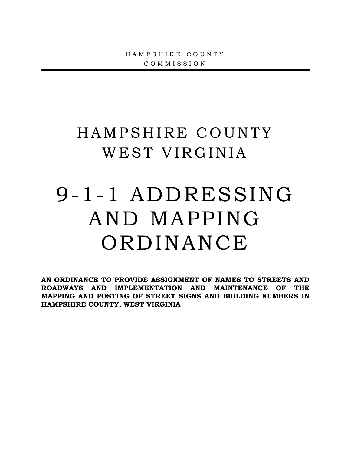# HAMPSHIRE COUNTY WEST VIRGINIA

# 9-1-1 ADDRESSING AND MAPPING **ORDINANCE**

**AN ORDINANCE TO PROVIDE ASSIGNMENT OF NAMES TO STREETS AND ROADWAYS AND IMPLEMENTATION AND MAINTENANCE OF THE MAPPING AND POSTING OF STREET SIGNS AND BUILDING NUMBERS IN HAMPSHIRE COUNTY, WEST VIRGINIA**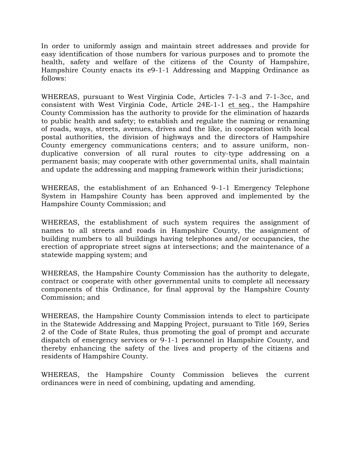In order to uniformly assign and maintain street addresses and provide for easy identification of those numbers for various purposes and to promote the health, safety and welfare of the citizens of the County of Hampshire, Hampshire County enacts its e9-1-1 Addressing and Mapping Ordinance as follows:

WHEREAS, pursuant to West Virginia Code, Articles 7-1-3 and 7-1-3cc, and consistent with West Virginia Code, Article 24E-1-1 et seq., the Hampshire County Commission has the authority to provide for the elimination of hazards to public health and safety; to establish and regulate the naming or renaming of roads, ways, streets, avenues, drives and the like, in cooperation with local postal authorities, the division of highways and the directors of Hampshire County emergency communications centers; and to assure uniform, nonduplicative conversion of all rural routes to city-type addressing on a permanent basis; may cooperate with other governmental units, shall maintain and update the addressing and mapping framework within their jurisdictions;

WHEREAS, the establishment of an Enhanced 9-1-1 Emergency Telephone System in Hampshire County has been approved and implemented by the Hampshire County Commission; and

WHEREAS, the establishment of such system requires the assignment of names to all streets and roads in Hampshire County, the assignment of building numbers to all buildings having telephones and/or occupancies, the erection of appropriate street signs at intersections; and the maintenance of a statewide mapping system; and

WHEREAS, the Hampshire County Commission has the authority to delegate, contract or cooperate with other governmental units to complete all necessary components of this Ordinance, for final approval by the Hampshire County Commission; and

WHEREAS, the Hampshire County Commission intends to elect to participate in the Statewide Addressing and Mapping Project, pursuant to Title 169, Series 2 of the Code of State Rules, thus promoting the goal of prompt and accurate dispatch of emergency services or 9-1-1 personnel in Hampshire County, and thereby enhancing the safety of the lives and property of the citizens and residents of Hampshire County.

WHEREAS, the Hampshire County Commission believes the current ordinances were in need of combining, updating and amending.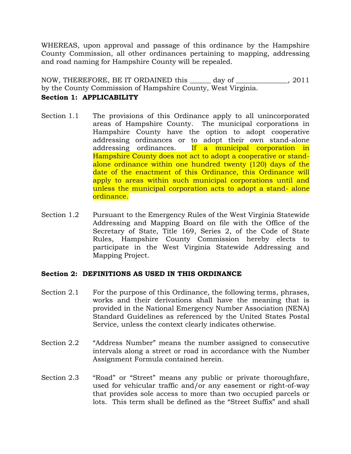WHEREAS, upon approval and passage of this ordinance by the Hampshire County Commission, all other ordinances pertaining to mapping, addressing and road naming for Hampshire County will be repealed.

NOW, THEREFORE, BE IT ORDAINED this \_\_\_\_\_\_ day of \_\_\_\_\_\_\_\_\_\_\_\_\_\_\_, 2011 by the County Commission of Hampshire County, West Virginia.

# **Section 1: APPLICABILITY**

- Section 1.1 The provisions of this Ordinance apply to all unincorporated areas of Hampshire County. The municipal corporations in Hampshire County have the option to adopt cooperative addressing ordinances or to adopt their own stand-alone addressing ordinances. If a municipal corporation in Hampshire County does not act to adopt a cooperative or standalone ordinance within one hundred twenty (120) days of the date of the enactment of this Ordinance, this Ordinance will apply to areas within such municipal corporations until and unless the municipal corporation acts to adopt a stand- alone ordinance.
- Section 1.2 Pursuant to the Emergency Rules of the West Virginia Statewide Addressing and Mapping Board on file with the Office of the Secretary of State, Title 169, Series 2, of the Code of State Rules, Hampshire County Commission hereby elects to participate in the West Virginia Statewide Addressing and Mapping Project.

# **Section 2: DEFINITIONS AS USED IN THIS ORDINANCE**

- Section 2.1 For the purpose of this Ordinance, the following terms, phrases, works and their derivations shall have the meaning that is provided in the National Emergency Number Association (NENA) Standard Guidelines as referenced by the United States Postal Service, unless the context clearly indicates otherwise.
- Section 2.2 "Address Number" means the number assigned to consecutive intervals along a street or road in accordance with the Number Assignment Formula contained herein.
- Section 2.3 "Road" or "Street" means any public or private thoroughfare, used for vehicular traffic and/or any easement or right-of-way that provides sole access to more than two occupied parcels or lots. This term shall be defined as the "Street Suffix" and shall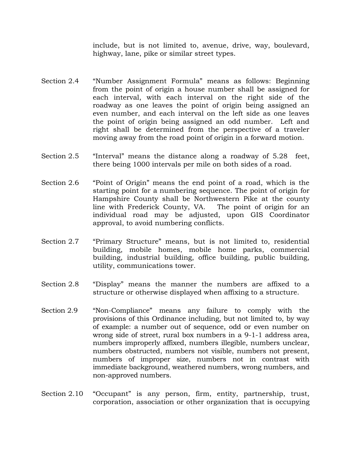include, but is not limited to, avenue, drive, way, boulevard, highway, lane, pike or similar street types.

- Section 2.4 "Number Assignment Formula" means as follows: Beginning from the point of origin a house number shall be assigned for each interval, with each interval on the right side of the roadway as one leaves the point of origin being assigned an even number, and each interval on the left side as one leaves the point of origin being assigned an odd number. Left and right shall be determined from the perspective of a traveler moving away from the road point of origin in a forward motion.
- Section 2.5 "Interval" means the distance along a roadway of 5.28 feet, there being 1000 intervals per mile on both sides of a road.
- Section 2.6 "Point of Origin" means the end point of a road, which is the starting point for a numbering sequence. The point of origin for Hampshire County shall be Northwestern Pike at the county line with Frederick County, VA. The point of origin for an individual road may be adjusted, upon GIS Coordinator approval, to avoid numbering conflicts.
- Section 2.7 "Primary Structure" means, but is not limited to, residential building, mobile homes, mobile home parks, commercial building, industrial building, office building, public building, utility, communications tower.
- Section 2.8 "Display" means the manner the numbers are affixed to a structure or otherwise displayed when affixing to a structure.
- Section 2.9 "Non-Compliance" means any failure to comply with the provisions of this Ordinance including, but not limited to, by way of example: a number out of sequence, odd or even number on wrong side of street, rural box numbers in a 9-1-1 address area, numbers improperly affixed, numbers illegible, numbers unclear, numbers obstructed, numbers not visible, numbers not present, numbers of improper size, numbers not in contrast with immediate background, weathered numbers, wrong numbers, and non-approved numbers.
- Section 2.10 "Occupant" is any person, firm, entity, partnership, trust, corporation, association or other organization that is occupying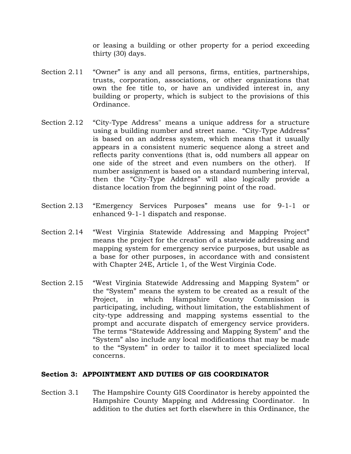or leasing a building or other property for a period exceeding thirty (30) days.

- Section 2.11 "Owner" is any and all persons, firms, entities, partnerships, trusts, corporation, associations, or other organizations that own the fee title to, or have an undivided interest in, any building or property, which is subject to the provisions of this Ordinance.
- Section 2.12 "City-Type Address" means a unique address for a structure using a building number and street name. "City-Type Address" is based on an address system, which means that it usually appears in a consistent numeric sequence along a street and reflects parity conventions (that is, odd numbers all appear on one side of the street and even numbers on the other). If number assignment is based on a standard numbering interval, then the "City-Type Address" will also logically provide a distance location from the beginning point of the road.
- Section 2.13 "Emergency Services Purposes" means use for 9-1-1 or enhanced 9-1-1 dispatch and response.
- Section 2.14 "West Virginia Statewide Addressing and Mapping Project" means the project for the creation of a statewide addressing and mapping system for emergency service purposes, but usable as a base for other purposes, in accordance with and consistent with Chapter 24E, Article 1, of the West Virginia Code.
- Section 2.15 "West Virginia Statewide Addressing and Mapping System" or the "System" means the system to be created as a result of the Project, in which Hampshire County Commission is participating, including, without limitation, the establishment of city-type addressing and mapping systems essential to the prompt and accurate dispatch of emergency service providers. The terms "Statewide Addressing and Mapping System" and the "System" also include any local modifications that may be made to the "System" in order to tailor it to meet specialized local concerns.

# **Section 3: APPOINTMENT AND DUTIES OF GIS COORDINATOR**

Section 3.1 The Hampshire County GIS Coordinator is hereby appointed the Hampshire County Mapping and Addressing Coordinator. In addition to the duties set forth elsewhere in this Ordinance, the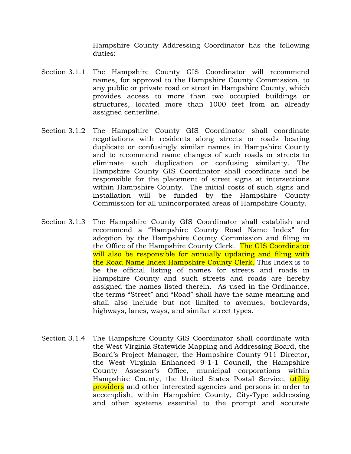Hampshire County Addressing Coordinator has the following duties:

- Section 3.1.1 The Hampshire County GIS Coordinator will recommend names, for approval to the Hampshire County Commission, to any public or private road or street in Hampshire County, which provides access to more than two occupied buildings or structures, located more than 1000 feet from an already assigned centerline.
- Section 3.1.2 The Hampshire County GIS Coordinator shall coordinate negotiations with residents along streets or roads bearing duplicate or confusingly similar names in Hampshire County and to recommend name changes of such roads or streets to eliminate such duplication or confusing similarity. The Hampshire County GIS Coordinator shall coordinate and be responsible for the placement of street signs at intersections within Hampshire County. The initial costs of such signs and installation will be funded by the Hampshire County Commission for all unincorporated areas of Hampshire County.
- Section 3.1.3 The Hampshire County GIS Coordinator shall establish and recommend a "Hampshire County Road Name Index" for adoption by the Hampshire County Commission and filing in the Office of the Hampshire County Clerk. The GIS Coordinator will also be responsible for annually updating and filing with the Road Name Index Hampshire County Clerk. This Index is to be the official listing of names for streets and roads in Hampshire County and such streets and roads are hereby assigned the names listed therein. As used in the Ordinance, the terms "Street" and "Road" shall have the same meaning and shall also include but not limited to avenues, boulevards, highways, lanes, ways, and similar street types.
- Section 3.1.4 The Hampshire County GIS Coordinator shall coordinate with the West Virginia Statewide Mapping and Addressing Board, the Board's Project Manager, the Hampshire County 911 Director, the West Virginia Enhanced 9-1-1 Council, the Hampshire County Assessor's Office, municipal corporations within Hampshire County, the United States Postal Service, utility providers and other interested agencies and persons in order to accomplish, within Hampshire County, City-Type addressing and other systems essential to the prompt and accurate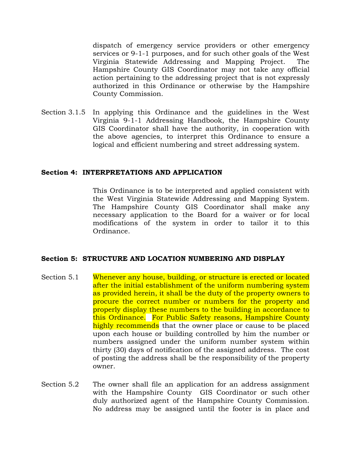dispatch of emergency service providers or other emergency services or 9-1-1 purposes, and for such other goals of the West Virginia Statewide Addressing and Mapping Project. The Hampshire County GIS Coordinator may not take any official action pertaining to the addressing project that is not expressly authorized in this Ordinance or otherwise by the Hampshire County Commission.

Section 3.1.5 In applying this Ordinance and the guidelines in the West Virginia 9-1-1 Addressing Handbook, the Hampshire County GIS Coordinator shall have the authority, in cooperation with the above agencies, to interpret this Ordinance to ensure a logical and efficient numbering and street addressing system.

#### **Section 4: INTERPRETATIONS AND APPLICATION**

This Ordinance is to be interpreted and applied consistent with the West Virginia Statewide Addressing and Mapping System. The Hampshire County GIS Coordinator shall make any necessary application to the Board for a waiver or for local modifications of the system in order to tailor it to this Ordinance.

# **Section 5: STRUCTURE AND LOCATION NUMBERING AND DISPLAY**

- Section 5.1 Whenever any house, building, or structure is erected or located after the initial establishment of the uniform numbering system as provided herein, it shall be the duty of the property owners to procure the correct number or numbers for the property and properly display these numbers to the building in accordance to this Ordinance. For Public Safety reasons, Hampshire County highly recommends that the owner place or cause to be placed upon each house or building controlled by him the number or numbers assigned under the uniform number system within thirty (30) days of notification of the assigned address. The cost of posting the address shall be the responsibility of the property owner.
- Section 5.2 The owner shall file an application for an address assignment with the Hampshire County GIS Coordinator or such other duly authorized agent of the Hampshire County Commission. No address may be assigned until the footer is in place and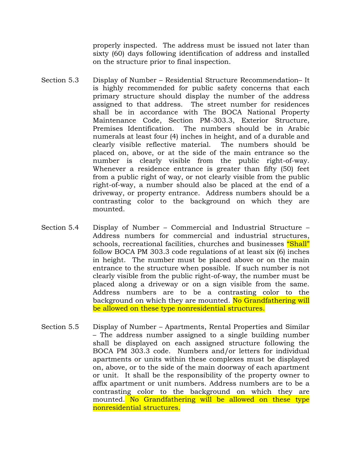properly inspected. The address must be issued not later than sixty (60) days following identification of address and installed on the structure prior to final inspection.

- Section 5.3 Display of Number Residential Structure Recommendation– It is highly recommended for public safety concerns that each primary structure should display the number of the address assigned to that address. The street number for residences shall be in accordance with The BOCA National Property Maintenance Code, Section PM-303.3, Exterior Structure, Premises Identification. The numbers should be in Arabic numerals at least four (4) inches in height, and of a durable and clearly visible reflective material. The numbers should be placed on, above, or at the side of the main entrance so the number is clearly visible from the public right-of-way. Whenever a residence entrance is greater than fifty (50) feet from a public right of way, or not clearly visible from the public right-of-way, a number should also be placed at the end of a driveway, or property entrance. Address numbers should be a contrasting color to the background on which they are mounted.
- Section 5.4 Display of Number Commercial and Industrial Structure Address numbers for commercial and industrial structures, schools, recreational facilities, churches and businesses "Shall" follow BOCA PM 303.3 code regulations of at least six (6) inches in height. The number must be placed above or on the main entrance to the structure when possible. If such number is not clearly visible from the public right-of-way, the number must be placed along a driveway or on a sign visible from the same. Address numbers are to be a contrasting color to the background on which they are mounted. No Grandfathering will be allowed on these type nonresidential structures.
- Section 5.5 Display of Number Apartments, Rental Properties and Similar – The address number assigned to a single building number shall be displayed on each assigned structure following the BOCA PM 303.3 code. Numbers and/or letters for individual apartments or units within these complexes must be displayed on, above, or to the side of the main doorway of each apartment or unit. It shall be the responsibility of the property owner to affix apartment or unit numbers. Address numbers are to be a contrasting color to the background on which they are mounted. No Grandfathering will be allowed on these type nonresidential structures.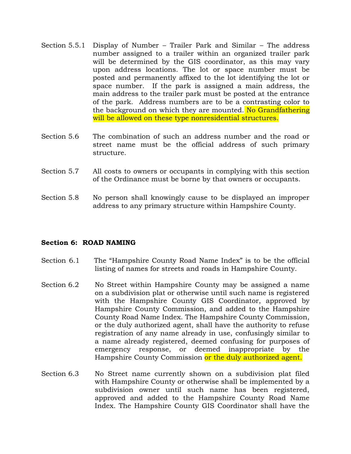- Section 5.5.1 Display of Number Trailer Park and Similar The address number assigned to a trailer within an organized trailer park will be determined by the GIS coordinator, as this may vary upon address locations. The lot or space number must be posted and permanently affixed to the lot identifying the lot or space number. If the park is assigned a main address, the main address to the trailer park must be posted at the entrance of the park. Address numbers are to be a contrasting color to the background on which they are mounted. No Grandfathering will be allowed on these type nonresidential structures.
- Section 5.6 The combination of such an address number and the road or street name must be the official address of such primary structure.
- Section 5.7 All costs to owners or occupants in complying with this section of the Ordinance must be borne by that owners or occupants.
- Section 5.8 No person shall knowingly cause to be displayed an improper address to any primary structure within Hampshire County.

#### **Section 6: ROAD NAMING**

- Section 6.1 The "Hampshire County Road Name Index" is to be the official listing of names for streets and roads in Hampshire County.
- Section 6.2 No Street within Hampshire County may be assigned a name on a subdivision plat or otherwise until such name is registered with the Hampshire County GIS Coordinator, approved by Hampshire County Commission, and added to the Hampshire County Road Name Index. The Hampshire County Commission, or the duly authorized agent, shall have the authority to refuse registration of any name already in use, confusingly similar to a name already registered, deemed confusing for purposes of emergency response, or deemed inappropriate by the Hampshire County Commission or the duly authorized agent.
- Section 6.3 No Street name currently shown on a subdivision plat filed with Hampshire County or otherwise shall be implemented by a subdivision owner until such name has been registered, approved and added to the Hampshire County Road Name Index. The Hampshire County GIS Coordinator shall have the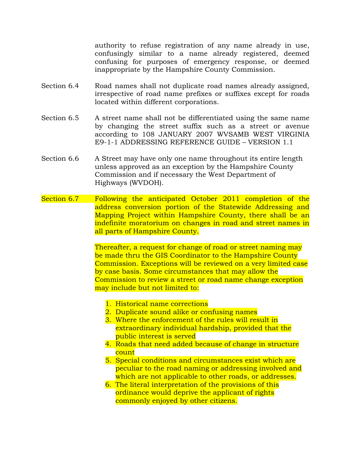authority to refuse registration of any name already in use, confusingly similar to a name already registered, deemed confusing for purposes of emergency response, or deemed inappropriate by the Hampshire County Commission.

- Section 6.4 Road names shall not duplicate road names already assigned, irrespective of road name prefixes or suffixes except for roads located within different corporations.
- Section 6.5 A street name shall not be differentiated using the same name by changing the street suffix such as a street or avenue according to 108 JANUARY 2007 WVSAMB WEST VIRGINIA E9-1-1 ADDRESSING REFERENCE GUIDE – VERSION 1.1
- Section 6.6 A Street may have only one name throughout its entire length unless approved as an exception by the Hampshire County Commission and if necessary the West Department of Highways (WVDOH).
- Section 6.7 Following the anticipated October 2011 completion of the address conversion portion of the Statewide Addressing and Mapping Project within Hampshire County, there shall be an indefinite moratorium on changes in road and street names in all parts of Hampshire County.

Thereafter, a request for change of road or street naming may be made thru the GIS Coordinator to the Hampshire County Commission. Exceptions will be reviewed on a very limited case by case basis. Some circumstances that may allow the Commission to review a street or road name change exception may include but not limited to:

- 1. Historical name corrections
- 2. Duplicate sound alike or confusing names
- 3. Where the enforcement of the rules will result in extraordinary individual hardship, provided that the public interest is served
- 4. Roads that need added because of change in structure count
- 5. Special conditions and circumstances exist which are peculiar to the road naming or addressing involved and which are not applicable to other roads, or addresses.
- 6. The literal interpretation of the provisions of this ordinance would deprive the applicant of rights commonly enjoyed by other citizens.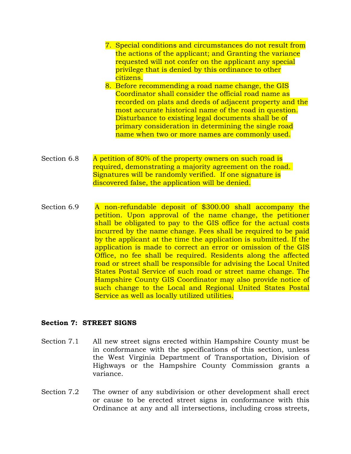- 7. Special conditions and circumstances do not result from the actions of the applicant; and Granting the variance requested will not confer on the applicant any special privilege that is denied by this ordinance to other citizens.
- 8. Before recommending a road name change, the GIS Coordinator shall consider the official road name as recorded on plats and deeds of adjacent property and the most accurate historical name of the road in question. Disturbance to existing legal documents shall be of primary consideration in determining the single road name when two or more names are commonly used.
- Section 6.8 A petition of 80% of the property owners on such road is required, demonstrating a majority agreement on the road. Signatures will be randomly verified. If one signature is discovered false, the application will be denied.
- Section 6.9 A non-refundable deposit of \$300.00 shall accompany the petition. Upon approval of the name change, the petitioner shall be obligated to pay to the GIS office for the actual costs incurred by the name change. Fees shall be required to be paid by the applicant at the time the application is submitted. If the application is made to correct an error or omission of the GIS Office, no fee shall be required. Residents along the affected road or street shall be responsible for advising the Local United States Postal Service of such road or street name change. The Hampshire County GIS Coordinator may also provide notice of such change to the Local and Regional United States Postal Service as well as locally utilized utilities.

#### **Section 7: STREET SIGNS**

- Section 7.1 All new street signs erected within Hampshire County must be in conformance with the specifications of this section, unless the West Virginia Department of Transportation, Division of Highways or the Hampshire County Commission grants a variance.
- Section 7.2 The owner of any subdivision or other development shall erect or cause to be erected street signs in conformance with this Ordinance at any and all intersections, including cross streets,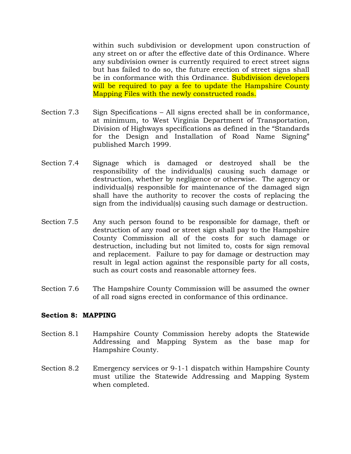within such subdivision or development upon construction of any street on or after the effective date of this Ordinance. Where any subdivision owner is currently required to erect street signs but has failed to do so, the future erection of street signs shall be in conformance with this Ordinance. Subdivision developers will be required to pay a fee to update the Hampshire County Mapping Files with the newly constructed roads.

- Section 7.3 Sign Specifications All signs erected shall be in conformance, at minimum, to West Virginia Department of Transportation, Division of Highways specifications as defined in the "Standards for the Design and Installation of Road Name Signing" published March 1999.
- Section 7.4 Signage which is damaged or destroyed shall be the responsibility of the individual(s) causing such damage or destruction, whether by negligence or otherwise. The agency or individual(s) responsible for maintenance of the damaged sign shall have the authority to recover the costs of replacing the sign from the individual(s) causing such damage or destruction.
- Section 7.5 Any such person found to be responsible for damage, theft or destruction of any road or street sign shall pay to the Hampshire County Commission all of the costs for such damage or destruction, including but not limited to, costs for sign removal and replacement. Failure to pay for damage or destruction may result in legal action against the responsible party for all costs, such as court costs and reasonable attorney fees.
- Section 7.6 The Hampshire County Commission will be assumed the owner of all road signs erected in conformance of this ordinance.

# **Section 8: MAPPING**

- Section 8.1 Hampshire County Commission hereby adopts the Statewide Addressing and Mapping System as the base map for Hampshire County.
- Section 8.2 Emergency services or 9-1-1 dispatch within Hampshire County must utilize the Statewide Addressing and Mapping System when completed.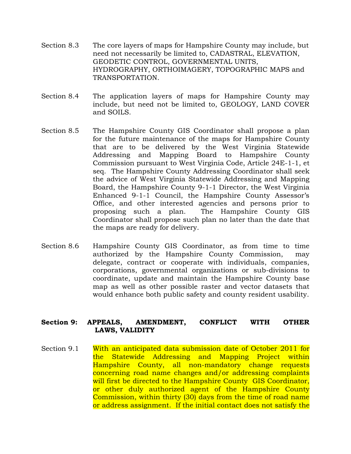- Section 8.3 The core layers of maps for Hampshire County may include, but need not necessarily be limited to, CADASTRAL, ELEVATION, GEODETIC CONTROL, GOVERNMENTAL UNITS, HYDROGRAPHY, ORTHOIMAGERY, TOPOGRAPHIC MAPS and TRANSPORTATION.
- Section 8.4 The application layers of maps for Hampshire County may include, but need not be limited to, GEOLOGY, LAND COVER and SOILS.
- Section 8.5 The Hampshire County GIS Coordinator shall propose a plan for the future maintenance of the maps for Hampshire County that are to be delivered by the West Virginia Statewide Addressing and Mapping Board to Hampshire County Commission pursuant to West Virginia Code, Article 24E-1-1, et seq. The Hampshire County Addressing Coordinator shall seek the advice of West Virginia Statewide Addressing and Mapping Board, the Hampshire County 9-1-1 Director, the West Virginia Enhanced 9-1-1 Council, the Hampshire County Assessor's Office, and other interested agencies and persons prior to proposing such a plan. The Hampshire County GIS Coordinator shall propose such plan no later than the date that the maps are ready for delivery.
- Section 8.6 Hampshire County GIS Coordinator, as from time to time authorized by the Hampshire County Commission, may delegate, contract or cooperate with individuals, companies, corporations, governmental organizations or sub-divisions to coordinate, update and maintain the Hampshire County base map as well as other possible raster and vector datasets that would enhance both public safety and county resident usability.

#### **Section 9: APPEALS, AMENDMENT, CONFLICT WITH OTHER LAWS, VALIDITY**

Section 9.1 With an anticipated data submission date of October 2011 for the Statewide Addressing and Mapping Project within Hampshire County, all non-mandatory change requests concerning road name changes and/or addressing complaints will first be directed to the Hampshire County GIS Coordinator, or other duly authorized agent of the Hampshire County Commission, within thirty (30) days from the time of road name or address assignment. If the initial contact does not satisfy the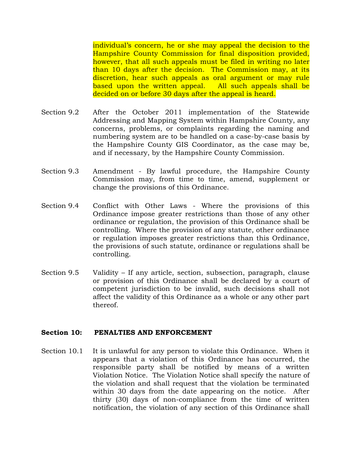individual's concern, he or she may appeal the decision to the Hampshire County Commission for final disposition provided, however, that all such appeals must be filed in writing no later than 10 days after the decision. The Commission may, at its discretion, hear such appeals as oral argument or may rule based upon the written appeal. All such appeals shall be decided on or before 30 days after the appeal is heard.

- Section 9.2 After the October 2011 implementation of the Statewide Addressing and Mapping System within Hampshire County, any concerns, problems, or complaints regarding the naming and numbering system are to be handled on a case-by-case basis by the Hampshire County GIS Coordinator, as the case may be, and if necessary, by the Hampshire County Commission.
- Section 9.3 Amendment By lawful procedure, the Hampshire County Commission may, from time to time, amend, supplement or change the provisions of this Ordinance.
- Section 9.4 Conflict with Other Laws Where the provisions of this Ordinance impose greater restrictions than those of any other ordinance or regulation, the provision of this Ordinance shall be controlling. Where the provision of any statute, other ordinance or regulation imposes greater restrictions than this Ordinance, the provisions of such statute, ordinance or regulations shall be controlling.
- Section 9.5 Validity If any article, section, subsection, paragraph, clause or provision of this Ordinance shall be declared by a court of competent jurisdiction to be invalid, such decisions shall not affect the validity of this Ordinance as a whole or any other part thereof.

#### **Section 10: PENALTIES AND ENFORCEMENT**

Section 10.1 It is unlawful for any person to violate this Ordinance. When it appears that a violation of this Ordinance has occurred, the responsible party shall be notified by means of a written Violation Notice. The Violation Notice shall specify the nature of the violation and shall request that the violation be terminated within 30 days from the date appearing on the notice. After thirty (30) days of non-compliance from the time of written notification, the violation of any section of this Ordinance shall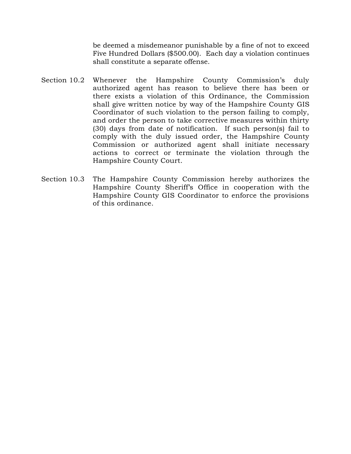be deemed a misdemeanor punishable by a fine of not to exceed Five Hundred Dollars (\$500.00). Each day a violation continues shall constitute a separate offense.

- Section 10.2 Whenever the Hampshire County Commission's duly authorized agent has reason to believe there has been or there exists a violation of this Ordinance, the Commission shall give written notice by way of the Hampshire County GIS Coordinator of such violation to the person failing to comply, and order the person to take corrective measures within thirty (30) days from date of notification. If such person(s) fail to comply with the duly issued order, the Hampshire County Commission or authorized agent shall initiate necessary actions to correct or terminate the violation through the Hampshire County Court.
- Section 10.3 The Hampshire County Commission hereby authorizes the Hampshire County Sheriff's Office in cooperation with the Hampshire County GIS Coordinator to enforce the provisions of this ordinance.